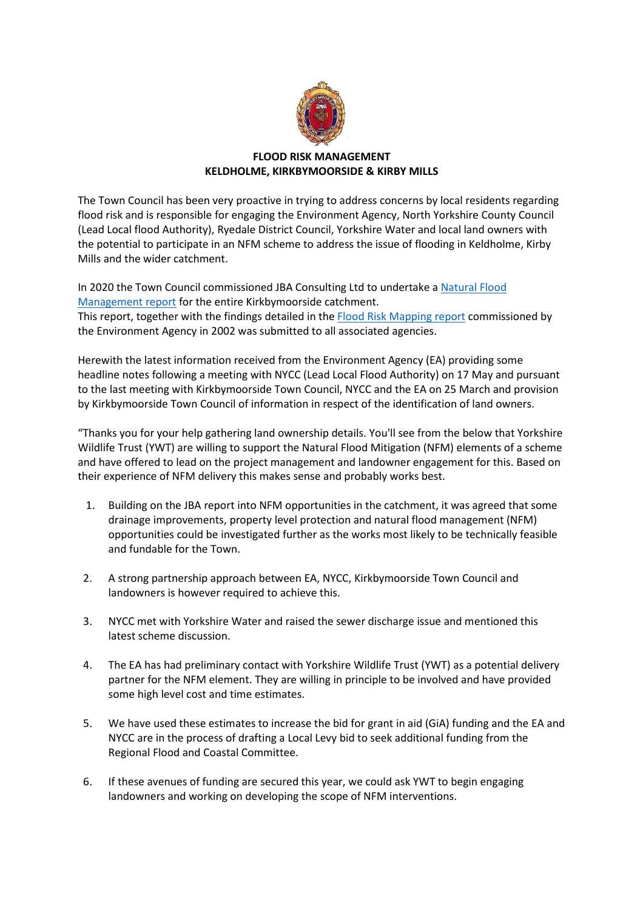

## **FLOOD RISK MANAGEMENT KELDHOLME, KIRKBYMOORSIDE & KIRBY MILLS**

The Town Council has been very proactive in trying to address concerns by local residents regarding flood risk and is responsible for engaging the Environment Agency, North Yorkshire County Council (Lead Local flood Authority), Ryedale District Council, Yorkshire Water and local land owners with the potential to participate in an NFM scheme to address the issue of flooding in Keldholme, Kirby Mills and the wider catchment.

In 2020 the Town Council commissioned JBA Consulting Ltd to undertake a Natural Flood Management report for the entire Kirkbymoorside catchment. This report, together with the findings detailed in the Flood Risk Mapping report commissioned by the Environment Agency in 2002 was submitted to all associated agencies.

Herewith the latest information received from the Environment Agency (EA) providing some headline notes following a meeting with NYCC (Lead Local Flood Authority) on 17 May and pursuant to the last meeting with Kirkbymoorside Town Council, NYCC and the EA on 25 March and provision by Kirkbymoorside Town Council of information in respect of the identification of land owners.

"Thanks you for your help gathering land ownership details. You'll see from the below that Yorkshire Wildlife Trust (YWT) are willing to support the Natural Flood Mitigation (NFM) elements of a scheme and have offered to lead on the project management and landowner engagement for this. Based on their experience of NFM delivery this makes sense and probably works best.

- 1. Building on the JBA report into NFM opportunities in the catchment, it was agreed that some drainage improvements, property level protection and natural flood management (NFM) opportunities could be investigated further as the works most likely to be technically feasible and fundable for the Town.
- 2. A strong partnership approach between EA, NYCC, Kirkbymoorside Town Council and landowners is however required to achieve this.
- 3. NYCC met with Yorkshire Water and raised the sewer discharge issue and mentioned this latest scheme discussion.
- 4. The EA has had preliminary contact with Yorkshire Wildlife Trust (YWT) as a potential delivery partner for the NFM element. They are willing in principle to be involved and have provided some high level cost and time estimates.
- 5. We have used these estimates to increase the bid for grant in aid (GiA) funding and the EA and NYCC are in the process of drafting a Local Levy bid to seek additional funding from the Regional Flood and Coastal Committee.
- 6. If these avenues of funding are secured this year, we could ask YWT to begin engaging landowners and working on developing the scope of NFM interventions.